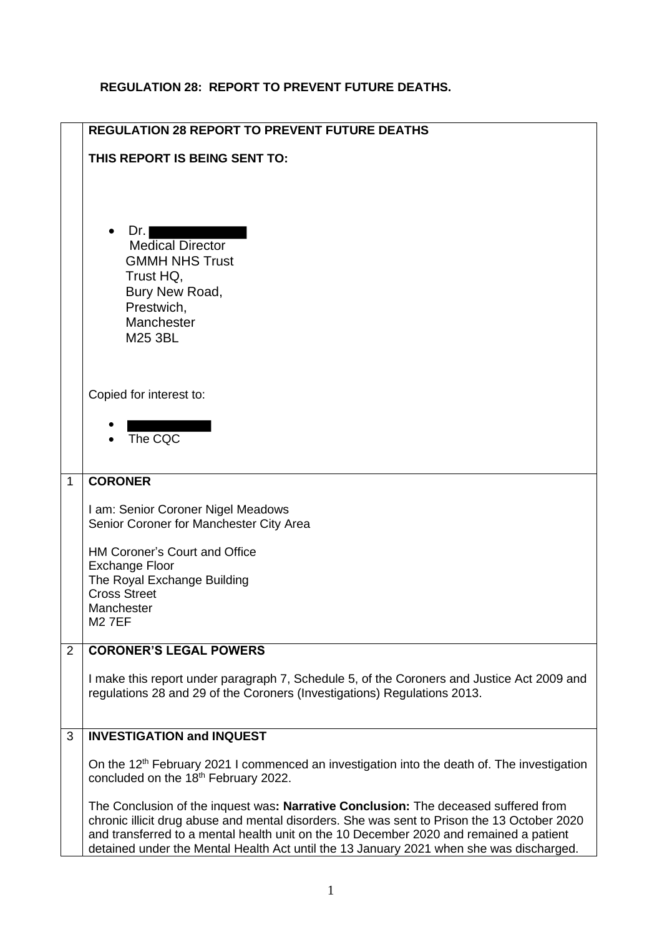## **REGULATION 28: REPORT TO PREVENT FUTURE DEATHS.**

|              | <b>REGULATION 28 REPORT TO PREVENT FUTURE DEATHS</b>                                                                                                                                                                                                                                                                                                                    |
|--------------|-------------------------------------------------------------------------------------------------------------------------------------------------------------------------------------------------------------------------------------------------------------------------------------------------------------------------------------------------------------------------|
|              | THIS REPORT IS BEING SENT TO:                                                                                                                                                                                                                                                                                                                                           |
|              | Dr.<br><b>Medical Director</b><br><b>GMMH NHS Trust</b><br>Trust HQ,<br>Bury New Road,<br>Prestwich,<br>Manchester<br>M25 3BL                                                                                                                                                                                                                                           |
|              | Copied for interest to:                                                                                                                                                                                                                                                                                                                                                 |
|              | $\bullet$ The CQC                                                                                                                                                                                                                                                                                                                                                       |
| $\mathbf{1}$ | <b>CORONER</b>                                                                                                                                                                                                                                                                                                                                                          |
|              | I am: Senior Coroner Nigel Meadows<br>Senior Coroner for Manchester City Area                                                                                                                                                                                                                                                                                           |
|              | HM Coroner's Court and Office                                                                                                                                                                                                                                                                                                                                           |
|              | <b>Exchange Floor</b><br>The Royal Exchange Building                                                                                                                                                                                                                                                                                                                    |
|              | <b>Cross Street</b><br>Manchester                                                                                                                                                                                                                                                                                                                                       |
|              | <b>M27EF</b>                                                                                                                                                                                                                                                                                                                                                            |
| 2            | <b>CORONER'S LEGAL POWERS</b>                                                                                                                                                                                                                                                                                                                                           |
|              | I make this report under paragraph 7, Schedule 5, of the Coroners and Justice Act 2009 and<br>regulations 28 and 29 of the Coroners (Investigations) Regulations 2013.                                                                                                                                                                                                  |
| 3            | <b>INVESTIGATION and INQUEST</b>                                                                                                                                                                                                                                                                                                                                        |
|              | On the 12 <sup>th</sup> February 2021 I commenced an investigation into the death of. The investigation<br>concluded on the 18 <sup>th</sup> February 2022.                                                                                                                                                                                                             |
|              | The Conclusion of the inquest was: Narrative Conclusion: The deceased suffered from<br>chronic illicit drug abuse and mental disorders. She was sent to Prison the 13 October 2020<br>and transferred to a mental health unit on the 10 December 2020 and remained a patient<br>detained under the Mental Health Act until the 13 January 2021 when she was discharged. |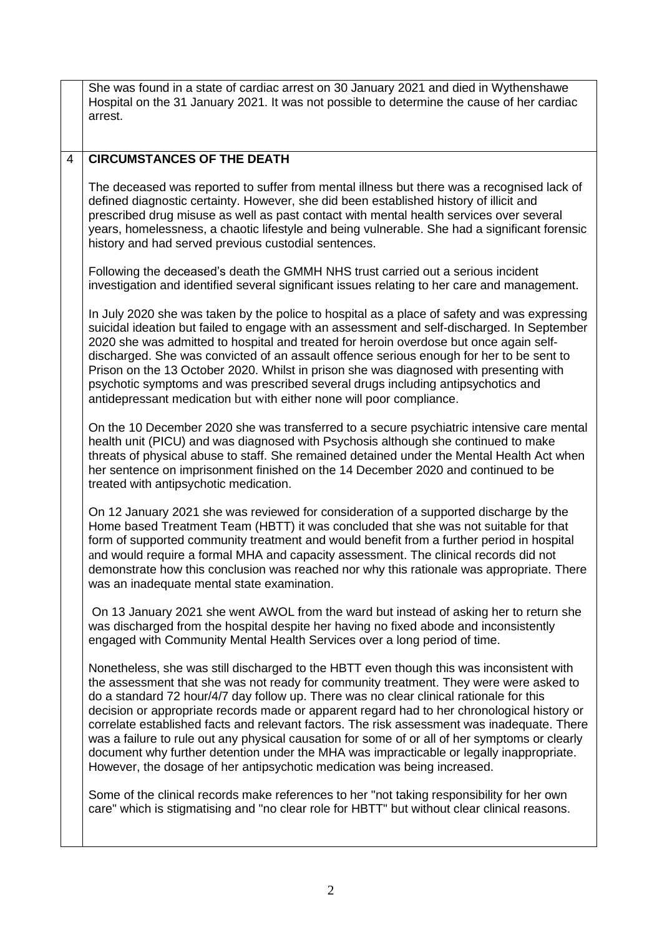|                | She was found in a state of cardiac arrest on 30 January 2021 and died in Wythenshawe<br>Hospital on the 31 January 2021. It was not possible to determine the cause of her cardiac<br>arrest.                                                                                                                                                                                                                                                                                                                                                                                                                                                                                                                                                        |
|----------------|-------------------------------------------------------------------------------------------------------------------------------------------------------------------------------------------------------------------------------------------------------------------------------------------------------------------------------------------------------------------------------------------------------------------------------------------------------------------------------------------------------------------------------------------------------------------------------------------------------------------------------------------------------------------------------------------------------------------------------------------------------|
|                |                                                                                                                                                                                                                                                                                                                                                                                                                                                                                                                                                                                                                                                                                                                                                       |
| $\overline{4}$ | <b>CIRCUMSTANCES OF THE DEATH</b>                                                                                                                                                                                                                                                                                                                                                                                                                                                                                                                                                                                                                                                                                                                     |
|                | The deceased was reported to suffer from mental illness but there was a recognised lack of<br>defined diagnostic certainty. However, she did been established history of illicit and<br>prescribed drug misuse as well as past contact with mental health services over several<br>years, homelessness, a chaotic lifestyle and being vulnerable. She had a significant forensic<br>history and had served previous custodial sentences.                                                                                                                                                                                                                                                                                                              |
|                | Following the deceased's death the GMMH NHS trust carried out a serious incident<br>investigation and identified several significant issues relating to her care and management.                                                                                                                                                                                                                                                                                                                                                                                                                                                                                                                                                                      |
|                | In July 2020 she was taken by the police to hospital as a place of safety and was expressing<br>suicidal ideation but failed to engage with an assessment and self-discharged. In September<br>2020 she was admitted to hospital and treated for heroin overdose but once again self-<br>discharged. She was convicted of an assault offence serious enough for her to be sent to<br>Prison on the 13 October 2020. Whilst in prison she was diagnosed with presenting with<br>psychotic symptoms and was prescribed several drugs including antipsychotics and<br>antidepressant medication but with either none will poor compliance.                                                                                                               |
|                | On the 10 December 2020 she was transferred to a secure psychiatric intensive care mental<br>health unit (PICU) and was diagnosed with Psychosis although she continued to make<br>threats of physical abuse to staff. She remained detained under the Mental Health Act when<br>her sentence on imprisonment finished on the 14 December 2020 and continued to be<br>treated with antipsychotic medication.                                                                                                                                                                                                                                                                                                                                          |
|                | On 12 January 2021 she was reviewed for consideration of a supported discharge by the<br>Home based Treatment Team (HBTT) it was concluded that she was not suitable for that<br>form of supported community treatment and would benefit from a further period in hospital<br>and would require a formal MHA and capacity assessment. The clinical records did not<br>demonstrate how this conclusion was reached nor why this rationale was appropriate. There<br>was an inadequate mental state examination.                                                                                                                                                                                                                                        |
|                | On 13 January 2021 she went AWOL from the ward but instead of asking her to return she<br>was discharged from the hospital despite her having no fixed abode and inconsistently<br>engaged with Community Mental Health Services over a long period of time.                                                                                                                                                                                                                                                                                                                                                                                                                                                                                          |
|                | Nonetheless, she was still discharged to the HBTT even though this was inconsistent with<br>the assessment that she was not ready for community treatment. They were were asked to<br>do a standard 72 hour/4/7 day follow up. There was no clear clinical rationale for this<br>decision or appropriate records made or apparent regard had to her chronological history or<br>correlate established facts and relevant factors. The risk assessment was inadequate. There<br>was a failure to rule out any physical causation for some of or all of her symptoms or clearly<br>document why further detention under the MHA was impracticable or legally inappropriate.<br>However, the dosage of her antipsychotic medication was being increased. |
|                | Some of the clinical records make references to her "not taking responsibility for her own<br>care" which is stigmatising and "no clear role for HBTT" but without clear clinical reasons.                                                                                                                                                                                                                                                                                                                                                                                                                                                                                                                                                            |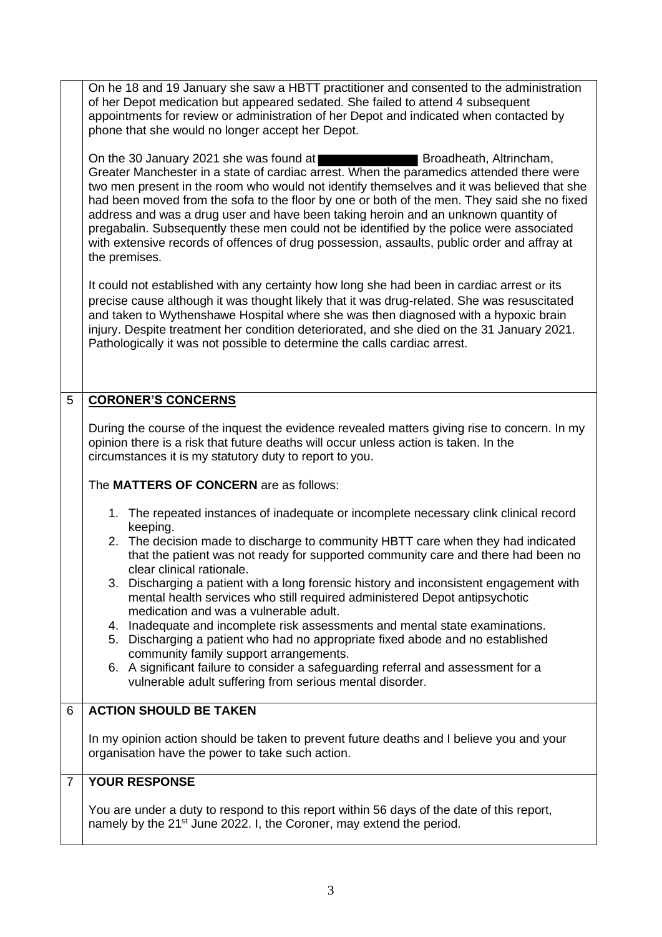|                | On he 18 and 19 January she saw a HBTT practitioner and consented to the administration<br>of her Depot medication but appeared sedated. She failed to attend 4 subsequent<br>appointments for review or administration of her Depot and indicated when contacted by<br>phone that she would no longer accept her Depot.                                                                                                                                                                                                                                                                                                                                      |
|----------------|---------------------------------------------------------------------------------------------------------------------------------------------------------------------------------------------------------------------------------------------------------------------------------------------------------------------------------------------------------------------------------------------------------------------------------------------------------------------------------------------------------------------------------------------------------------------------------------------------------------------------------------------------------------|
|                | On the 30 January 2021 she was found at<br>Broadheath, Altrincham,<br>Greater Manchester in a state of cardiac arrest. When the paramedics attended there were<br>two men present in the room who would not identify themselves and it was believed that she<br>had been moved from the sofa to the floor by one or both of the men. They said she no fixed<br>address and was a drug user and have been taking heroin and an unknown quantity of<br>pregabalin. Subsequently these men could not be identified by the police were associated<br>with extensive records of offences of drug possession, assaults, public order and affray at<br>the premises. |
|                | It could not established with any certainty how long she had been in cardiac arrest or its<br>precise cause although it was thought likely that it was drug-related. She was resuscitated<br>and taken to Wythenshawe Hospital where she was then diagnosed with a hypoxic brain<br>injury. Despite treatment her condition deteriorated, and she died on the 31 January 2021.<br>Pathologically it was not possible to determine the calls cardiac arrest.                                                                                                                                                                                                   |
| $\overline{5}$ | <b>CORONER'S CONCERNS</b>                                                                                                                                                                                                                                                                                                                                                                                                                                                                                                                                                                                                                                     |
|                | During the course of the inquest the evidence revealed matters giving rise to concern. In my<br>opinion there is a risk that future deaths will occur unless action is taken. In the<br>circumstances it is my statutory duty to report to you.                                                                                                                                                                                                                                                                                                                                                                                                               |
|                | The MATTERS OF CONCERN are as follows:                                                                                                                                                                                                                                                                                                                                                                                                                                                                                                                                                                                                                        |
|                | 1. The repeated instances of inadequate or incomplete necessary clink clinical record<br>keeping.<br>2. The decision made to discharge to community HBTT care when they had indicated<br>that the patient was not ready for supported community care and there had been no                                                                                                                                                                                                                                                                                                                                                                                    |
|                | clear clinical rationale.                                                                                                                                                                                                                                                                                                                                                                                                                                                                                                                                                                                                                                     |
|                | 3. Discharging a patient with a long forensic history and inconsistent engagement with<br>mental health services who still required administered Depot antipsychotic<br>medication and was a vulnerable adult.                                                                                                                                                                                                                                                                                                                                                                                                                                                |
|                | 4. Inadequate and incomplete risk assessments and mental state examinations.                                                                                                                                                                                                                                                                                                                                                                                                                                                                                                                                                                                  |
|                | Discharging a patient who had no appropriate fixed abode and no established<br>5.<br>community family support arrangements.                                                                                                                                                                                                                                                                                                                                                                                                                                                                                                                                   |
|                | 6. A significant failure to consider a safeguarding referral and assessment for a<br>vulnerable adult suffering from serious mental disorder.                                                                                                                                                                                                                                                                                                                                                                                                                                                                                                                 |
| 6              | <b>ACTION SHOULD BE TAKEN</b>                                                                                                                                                                                                                                                                                                                                                                                                                                                                                                                                                                                                                                 |
|                | In my opinion action should be taken to prevent future deaths and I believe you and your<br>organisation have the power to take such action.                                                                                                                                                                                                                                                                                                                                                                                                                                                                                                                  |
| $\overline{7}$ | <b>YOUR RESPONSE</b>                                                                                                                                                                                                                                                                                                                                                                                                                                                                                                                                                                                                                                          |
|                | You are under a duty to respond to this report within 56 days of the date of this report,<br>$h$ , but he 24st line 2022 I the Coronar may extend the period                                                                                                                                                                                                                                                                                                                                                                                                                                                                                                  |

namely by the 21<sup>st</sup> June 2022. I, the Coroner, may extend the period.